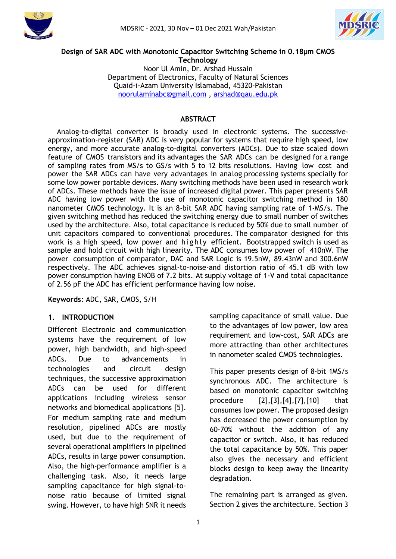



#### **Design of SAR ADC with Monotonic Capacitor Switching Scheme in 0.18µm CMOS Technology**

Noor Ul Amin, Dr. Arshad Hussain Department of Electronics, Faculty of Natural Sciences Quaid-i-Azam University Islamabad, 45320-Pakistan [noorulaminabc@gmail.com](mailto:noorulaminabc@gmail.com) , [arshad@qau.edu.pk](mailto:arshad@qau.edu.pk)

## **ABSTRACT**

Analog-to-digital converter is broadly used in electronic systems. The successiveapproximation-register (SAR) ADC is very popular for systems that require high speed, low energy, and more accurate analog-to-digital converters (ADCs). Due to size scaled down feature of CMOS transistors and its advantages the SAR ADCs can be designed for a range of sampling rates from MS/s to GS/s with 5 to 12 bits resolutions. Having low cost and power the SAR ADCs can have very advantages in analog processing systems specially for some low power portable devices. Many switching methods have been used in research work of ADCs. These methods have the issue of increased digital power. This paper presents SAR ADC having low power with the use of monotonic capacitor switching method in 180 nanometer CMOS technology. It is an 8-bit SAR ADC having sampling rate of 1-MS/s. The given switching method has reduced the switching energy due to small number of switches used by the architecture. Also, total capacitance is reduced by 50% due to small number of unit capacitors compared to conventional procedures. The comparator designed for this work is a high speed, low power and highly efficient. Bootstrapped switch is used as sample and hold circuit with high linearity. The ADC consumes low power of 410nW. The power consumption of comparator, DAC and SAR Logic is 19.5nW, 89.43nW and 300.6nW respectively. The ADC achieves signal-to-noise-and distortion ratio of 45.1 dB with low power consumption having ENOB of 7.2 bits. At supply voltage of 1-V and total capacitance of 2.56 pF the ADC has efficient performance having low noise.

**Keywords**: ADC, SAR, CMOS, S/H

### **1. INTRODUCTION**

Different Electronic and communication systems have the requirement of low power, high bandwidth, and high-speed ADCs. Due to advancements in technologies and circuit design techniques, the successive approximation ADCs can be used for different applications including wireless sensor networks and biomedical applications [5]. For medium sampling rate and medium resolution, pipelined ADCs are mostly used, but due to the requirement of several operational amplifiers in pipelined ADCs, results in large power consumption. Also, the high-performance amplifier is a challenging task. Also, it needs large sampling capacitance for high signal-tonoise ratio because of limited signal swing. However, to have high SNR it needs sampling capacitance of small value. Due to the advantages of low power, low area requirement and low-cost, SAR ADCs are more attracting than other architectures in nanometer scaled CMOS technologies.

This paper presents design of 8-bit 1MS/s synchronous ADC. The architecture is based on monotonic capacitor switching procedure [2],[3],[4],[7],[10] that consumes low power. The proposed design has decreased the power consumption by 60-70% without the addition of any capacitor or switch. Also, it has reduced the total capacitance by 50%. This paper also gives the necessary and efficient blocks design to keep away the linearity degradation.

The remaining part is arranged as given. Section 2 gives the architecture. Section 3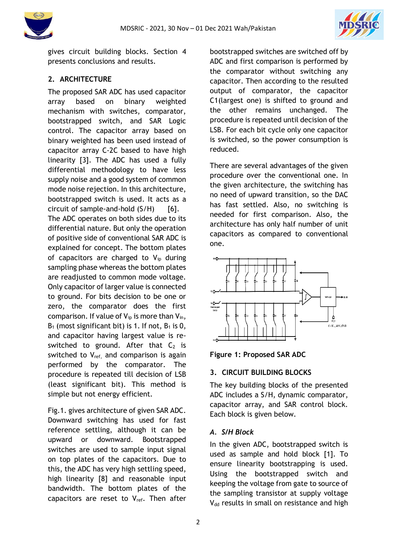



gives circuit building blocks. Section 4 presents conclusions and results.

# **2. ARCHITECTURE**

The proposed SAR ADC has used capacitor array based on binary weighted mechanism with switches, comparator, bootstrapped switch, and SAR Logic control. The capacitor array based on binary weighted has been used instead of capacitor array C-2C based to have high linearity [3]. The ADC has used a fully differential methodology to have less supply noise and a good system of common mode noise rejection. In this architecture, bootstrapped switch is used. It acts as a circuit of sample-and-hold  $(S/H)$  [6]. The ADC operates on both sides due to its differential nature. But only the operation of positive side of conventional SAR ADC is explained for concept. The bottom plates of capacitors are charged to  $V_{ip}$  during sampling phase whereas the bottom plates are readjusted to common mode voltage. Only capacitor of larger value is connected to ground. For bits decision to be one or zero, the comparator does the first comparison. If value of  $V_{in}$  is more than  $V_{in}$ ,  $B_1$  (most significant bit) is 1. If not,  $B_1$  is 0, and capacitor having largest value is reswitched to ground. After that  $C_2$  is switched to  $V_{ref.}$  and comparison is again performed by the comparator. The procedure is repeated till decision of LSB (least significant bit). This method is simple but not energy efficient.

Fig.1. gives architecture of given SAR ADC. Downward switching has used for fast reference settling, although it can be upward or downward. Bootstrapped switches are used to sample input signal on top plates of the capacitors. Due to this, the ADC has very high settling speed, high linearity [8] and reasonable input bandwidth. The bottom plates of the capacitors are reset to  $V_{ref.}$  Then after bootstrapped switches are switched off by ADC and first comparison is performed by the comparator without switching any capacitor. Then according to the resulted output of comparator, the capacitor C1(largest one) is shifted to ground and the other remains unchanged. The procedure is repeated until decision of the LSB. For each bit cycle only one capacitor is switched, so the power consumption is reduced.

There are several advantages of the given procedure over the conventional one. In the given architecture, the switching has no need of upward transition, so the DAC has fast settled. Also, no switching is needed for first comparison. Also, the architecture has only half number of unit capacitors as compared to conventional one.



**Figure 1: Proposed SAR ADC**

## **3. CIRCUIT BUILDING BLOCKS**

The key building blocks of the presented ADC includes a S/H, dynamic comparator, capacitor array, and SAR control block. Each block is given below.

### *A. S/H Block*

In the given ADC, bootstrapped switch is used as sample and hold block [1]. To ensure linearity bootstrapping is used. Using the bootstrapped switch and keeping the voltage from gate to source of the sampling transistor at supply voltage V<sub>dd</sub> results in small on resistance and high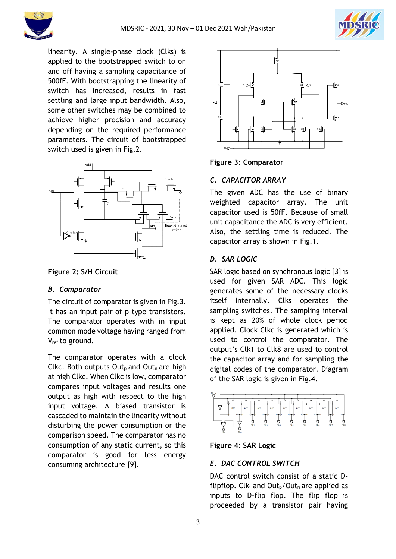



linearity. A single-phase clock (Clks) is applied to the bootstrapped switch to on and off having a sampling capacitance of 500fF. With bootstrapping the linearity of switch has increased, results in fast settling and large input bandwidth. Also, some other switches may be combined to achieve higher precision and accuracy depending on the required performance parameters. The circuit of bootstrapped switch used is given in Fig.2.



**Figure 2: S/H Circuit**

## *B. Comparator*

The circuit of comparator is given in Fig.3. It has an input pair of p type transistors. The comparator operates with in input common mode voltage having ranged from Vref to ground.

The comparator operates with a clock Clkc. Both outputs Out<sub>p</sub> and Out<sub>n</sub> are high at high Clkc. When Clkc is low, comparator compares input voltages and results one output as high with respect to the high input voltage. A biased transistor is cascaded to maintain the linearity without disturbing the power consumption or the comparison speed. The comparator has no consumption of any static current, so this comparator is good for less energy consuming architecture [9].



#### **Figure 3: Comparator**

### *C. CAPACITOR ARRAY*

The given ADC has the use of binary weighted capacitor array. The unit capacitor used is 50fF. Because of small unit capacitance the ADC is very efficient. Also, the settling time is reduced. The capacitor array is shown in Fig.1.

### *D. SAR LOGIC*

SAR logic based on synchronous logic [3] is used for given SAR ADC. This logic generates some of the necessary clocks itself internally. Clks operates the sampling switches. The sampling interval is kept as 20% of whole clock period applied. Clock Clkc is generated which is used to control the comparator. The output's Clk1 to Clk8 are used to control the capacitor array and for sampling the digital codes of the comparator. Diagram of the SAR logic is given in Fig.4.



## **Figure 4: SAR Logic**

## *E. DAC CONTROL SWITCH*

DAC control switch consist of a static Dflipflop.  $Clk_i$  and  $Out_0/Out_0$  are applied as inputs to D-flip flop. The flip flop is proceeded by a transistor pair having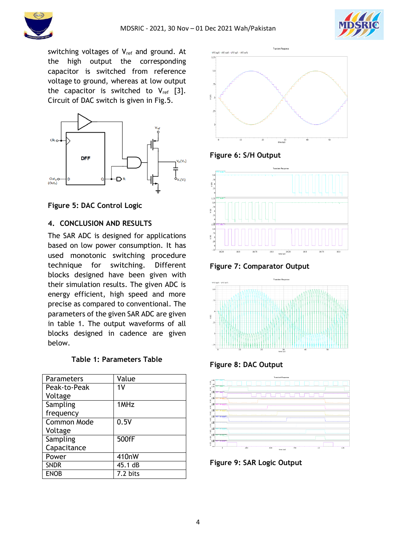



switching voltages of  $V_{ref}$  and ground. At the high output the corresponding capacitor is switched from reference voltage to ground, whereas at low output the capacitor is switched to  $V_{ref}$  [3]. Circuit of DAC switch is given in Fig.5.



**Figure 5: DAC Control Logic**

## **4. CONCLUSION AND RESULTS**

The SAR ADC is designed for applications based on low power consumption. It has used monotonic switching procedure technique for switching. Different blocks designed have been given with their simulation results. The given ADC is energy efficient, high speed and more precise as compared to conventional. The parameters of the given SAR ADC are given in table 1. The output waveforms of all blocks designed in cadence are given below.

|  |  | <b>Table 1: Parameters Table</b> |  |
|--|--|----------------------------------|--|
|--|--|----------------------------------|--|

| Parameters         | Value          |
|--------------------|----------------|
| Peak-to-Peak       | 1 <sup>V</sup> |
| Voltage            |                |
| Sampling           | 1MHz           |
| frequency          |                |
| <b>Common Mode</b> | 0.5V           |
| Voltage            |                |
| Sampling           | 500fF          |
| Capacitance        |                |
| Power              | 410nW          |
| <b>SNDR</b>        | 45.1 dB        |
| <b>ENOB</b>        | 7.2 bits       |



**Figure 6: S/H Output**



**Figure 7: Comparator Output**



**Figure 8: DAC Output**



**Figure 9: SAR Logic Output**